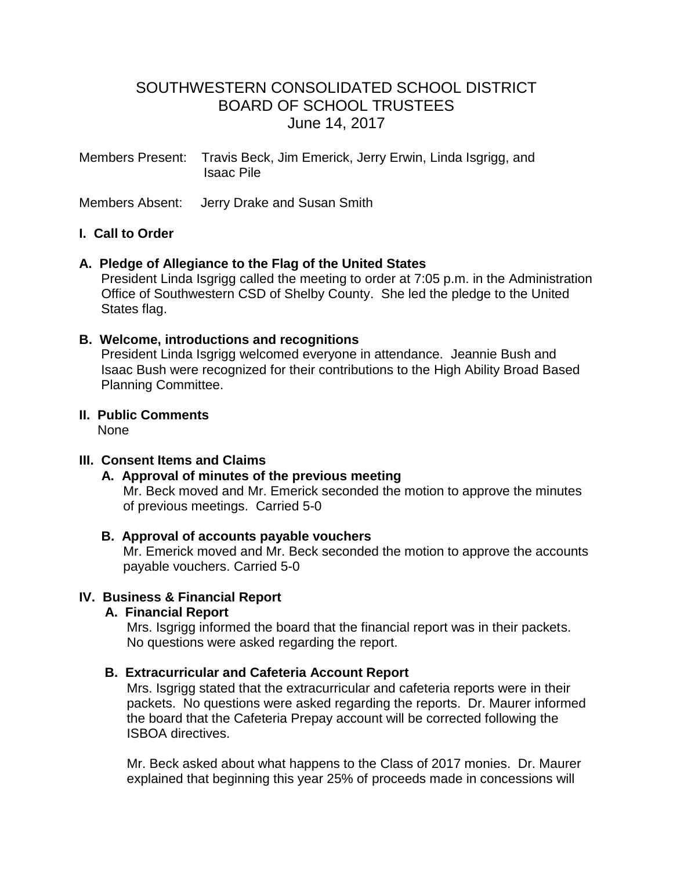# SOUTHWESTERN CONSOLIDATED SCHOOL DISTRICT BOARD OF SCHOOL TRUSTEES June 14, 2017

Members Present: Travis Beck, Jim Emerick, Jerry Erwin, Linda Isgrigg, and Isaac Pile

Members Absent: Jerry Drake and Susan Smith

## **I. Call to Order**

#### **A. Pledge of Allegiance to the Flag of the United States**

 President Linda Isgrigg called the meeting to order at 7:05 p.m. in the Administration Office of Southwestern CSD of Shelby County. She led the pledge to the United States flag.

#### **B. Welcome, introductions and recognitions**

President Linda Isgrigg welcomed everyone in attendance. Jeannie Bush and Isaac Bush were recognized for their contributions to the High Ability Broad Based Planning Committee.

## **II. Public Comments**

None

## **III. Consent Items and Claims**

### **A. Approval of minutes of the previous meeting**

Mr. Beck moved and Mr. Emerick seconded the motion to approve the minutes of previous meetings. Carried 5-0

#### **B. Approval of accounts payable vouchers**

 Mr. Emerick moved and Mr. Beck seconded the motion to approve the accounts payable vouchers. Carried 5-0

## **IV. Business & Financial Report**

#### **A. Financial Report**

 Mrs. Isgrigg informed the board that the financial report was in their packets. No questions were asked regarding the report.

## **B. Extracurricular and Cafeteria Account Report**

Mrs. Isgrigg stated that the extracurricular and cafeteria reports were in their packets. No questions were asked regarding the reports. Dr. Maurer informed the board that the Cafeteria Prepay account will be corrected following the ISBOA directives.

 Mr. Beck asked about what happens to the Class of 2017 monies. Dr. Maurer explained that beginning this year 25% of proceeds made in concessions will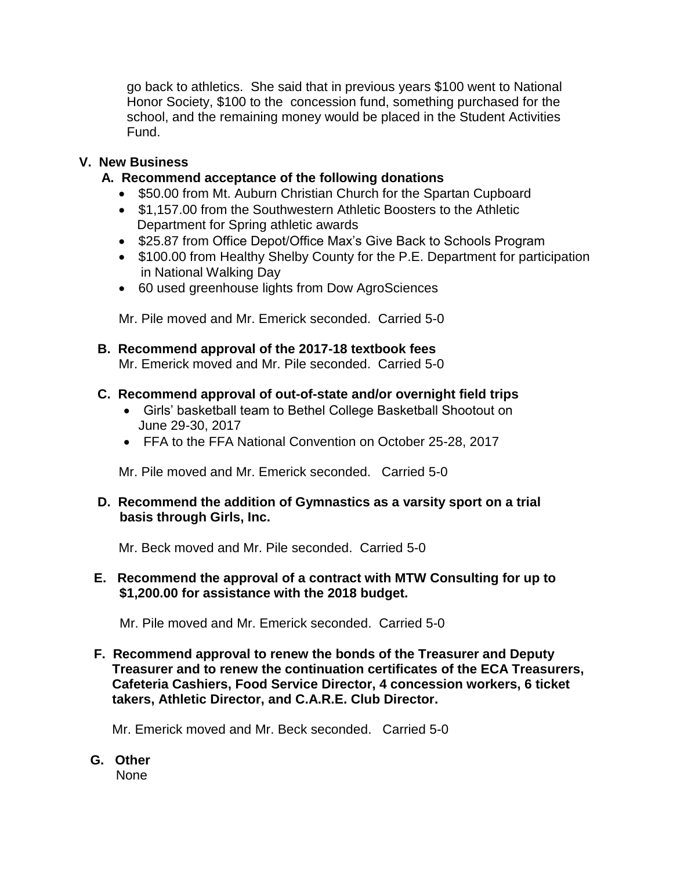go back to athletics. She said that in previous years \$100 went to National Honor Society, \$100 to the concession fund, something purchased for the school, and the remaining money would be placed in the Student Activities Fund.

## **V. New Business**

## **A. Recommend acceptance of the following donations**

- \$50.00 from Mt. Auburn Christian Church for the Spartan Cupboard
- \$1,157.00 from the Southwestern Athletic Boosters to the Athletic Department for Spring athletic awards
- \$25.87 from Office Depot/Office Max's Give Back to Schools Program
- \$100.00 from Healthy Shelby County for the P.E. Department for participation in National Walking Day
- 60 used greenhouse lights from Dow AgroSciences

Mr. Pile moved and Mr. Emerick seconded. Carried 5-0

 **B. Recommend approval of the 2017-18 textbook fees** Mr. Emerick moved and Mr. Pile seconded. Carried 5-0

## **C. Recommend approval of out-of-state and/or overnight field trips**

- Girls' basketball team to Bethel College Basketball Shootout on June 29-30, 2017
- FFA to the FFA National Convention on October 25-28, 2017

Mr. Pile moved and Mr. Emerick seconded. Carried 5-0

## **D. Recommend the addition of Gymnastics as a varsity sport on a trial basis through Girls, Inc.**

Mr. Beck moved and Mr. Pile seconded. Carried 5-0

## **E. Recommend the approval of a contract with MTW Consulting for up to \$1,200.00 for assistance with the 2018 budget.**

Mr. Pile moved and Mr. Emerick seconded.Carried 5-0

 **F. Recommend approval to renew the bonds of the Treasurer and Deputy Treasurer and to renew the continuation certificates of the ECA Treasurers, Cafeteria Cashiers, Food Service Director, 4 concession workers, 6 ticket takers, Athletic Director, and C.A.R.E. Club Director.** 

Mr. Emerick moved and Mr. Beck seconded. Carried 5-0

**G. Other** None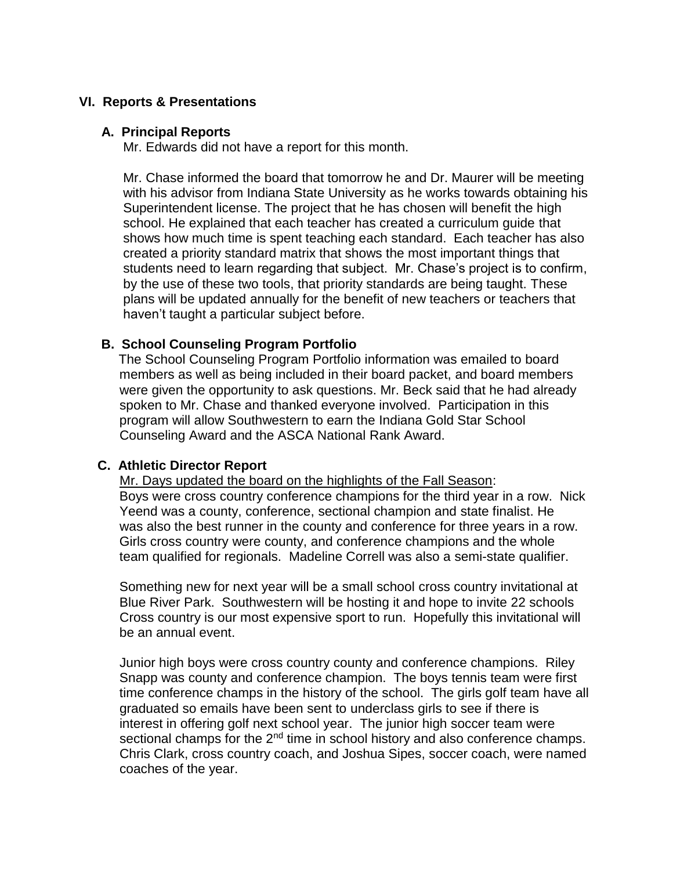## **VI. Reports & Presentations**

#### **A. Principal Reports**

Mr. Edwards did not have a report for this month.

 Mr. Chase informed the board that tomorrow he and Dr. Maurer will be meeting with his advisor from Indiana State University as he works towards obtaining his Superintendent license. The project that he has chosen will benefit the high school. He explained that each teacher has created a curriculum guide that shows how much time is spent teaching each standard. Each teacher has also created a priority standard matrix that shows the most important things that students need to learn regarding that subject. Mr. Chase's project is to confirm, by the use of these two tools, that priority standards are being taught. These plans will be updated annually for the benefit of new teachers or teachers that haven't taught a particular subject before.

## **B. School Counseling Program Portfolio**

The School Counseling Program Portfolio information was emailed to board members as well as being included in their board packet, and board members were given the opportunity to ask questions. Mr. Beck said that he had already spoken to Mr. Chase and thanked everyone involved. Participation in this program will allow Southwestern to earn the Indiana Gold Star School Counseling Award and the ASCA National Rank Award.

## **C. Athletic Director Report**

Mr. Days updated the board on the highlights of the Fall Season: Boys were cross country conference champions for the third year in a row. Nick Yeend was a county, conference, sectional champion and state finalist. He was also the best runner in the county and conference for three years in a row. Girls cross country were county, and conference champions and the whole team qualified for regionals. Madeline Correll was also a semi-state qualifier.

 Something new for next year will be a small school cross country invitational at Blue River Park. Southwestern will be hosting it and hope to invite 22 schools Cross country is our most expensive sport to run. Hopefully this invitational will be an annual event.

 Junior high boys were cross country county and conference champions. Riley Snapp was county and conference champion. The boys tennis team were first time conference champs in the history of the school. The girls golf team have all graduated so emails have been sent to underclass girls to see if there is interest in offering golf next school year. The junior high soccer team were sectional champs for the 2<sup>nd</sup> time in school history and also conference champs. Chris Clark, cross country coach, and Joshua Sipes, soccer coach, were named coaches of the year.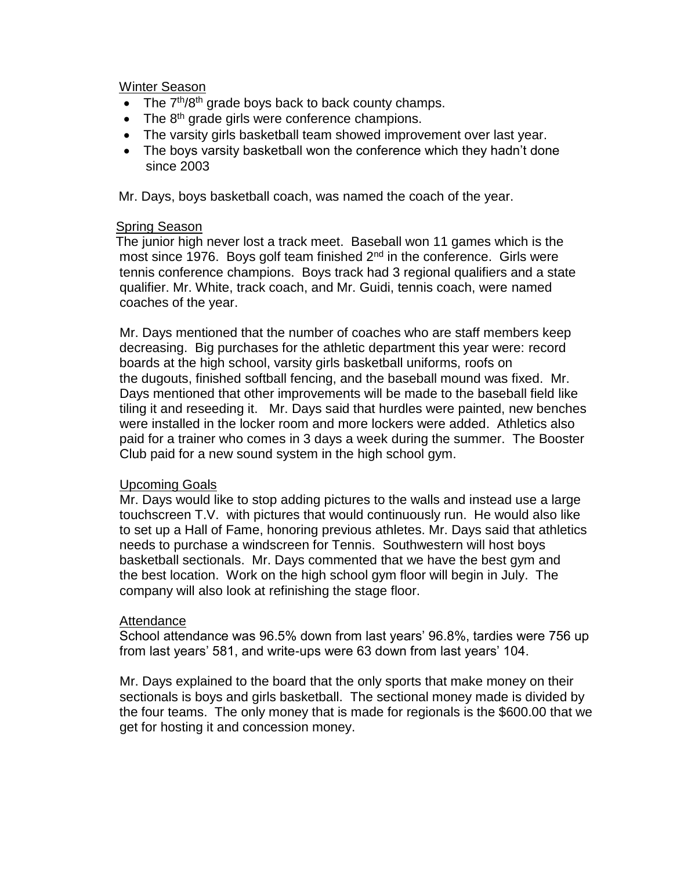#### Winter Season

- The  $7<sup>th</sup>/8<sup>th</sup>$  grade boys back to back county champs.
- $\bullet$  The 8<sup>th</sup> grade girls were conference champions.
- The varsity girls basketball team showed improvement over last year.
- The boys varsity basketball won the conference which they hadn't done since 2003

Mr. Days, boys basketball coach, was named the coach of the year.

#### **Spring Season**

 The junior high never lost a track meet. Baseball won 11 games which is the most since 1976. Boys golf team finished  $2<sup>nd</sup>$  in the conference. Girls were tennis conference champions. Boys track had 3 regional qualifiers and a state qualifier. Mr. White, track coach, and Mr. Guidi, tennis coach, were named coaches of the year.

 Mr. Days mentioned that the number of coaches who are staff members keep decreasing. Big purchases for the athletic department this year were: record boards at the high school, varsity girls basketball uniforms, roofs on the dugouts, finished softball fencing, and the baseball mound was fixed. Mr. Days mentioned that other improvements will be made to the baseball field like tiling it and reseeding it. Mr. Days said that hurdles were painted, new benches were installed in the locker room and more lockers were added. Athletics also paid for a trainer who comes in 3 days a week during the summer. The Booster Club paid for a new sound system in the high school gym.

## Upcoming Goals

 Mr. Days would like to stop adding pictures to the walls and instead use a large touchscreen T.V. with pictures that would continuously run. He would also like to set up a Hall of Fame, honoring previous athletes. Mr. Days said that athletics needs to purchase a windscreen for Tennis. Southwestern will host boys basketball sectionals. Mr. Days commented that we have the best gym and the best location. Work on the high school gym floor will begin in July. The company will also look at refinishing the stage floor.

## Attendance

 School attendance was 96.5% down from last years' 96.8%, tardies were 756 up from last years' 581, and write-ups were 63 down from last years' 104.

Mr. Days explained to the board that the only sports that make money on their sectionals is boys and girls basketball. The sectional money made is divided by the four teams. The only money that is made for regionals is the \$600.00 that we get for hosting it and concession money.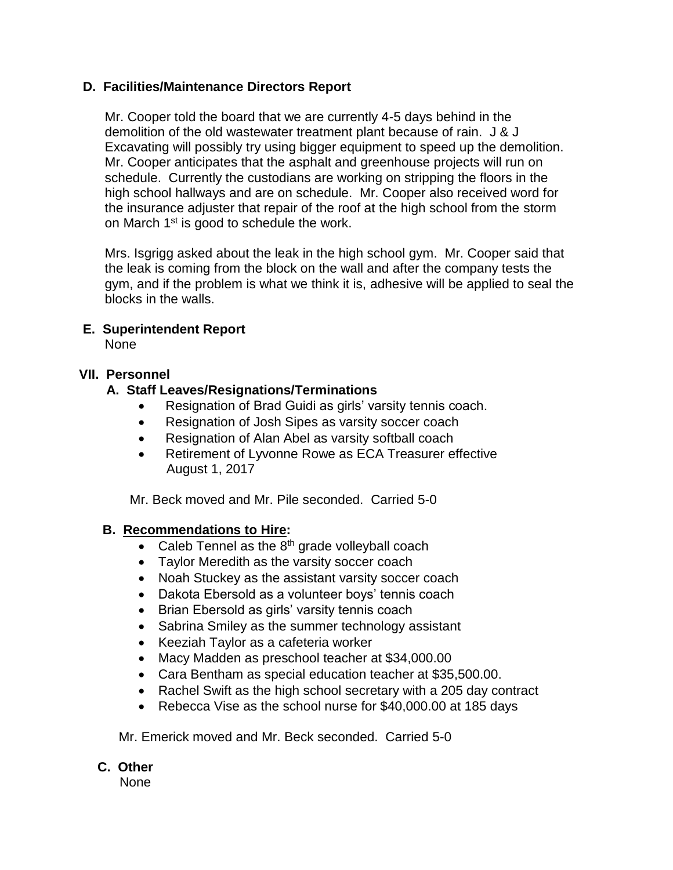## **D. Facilities/Maintenance Directors Report**

Mr. Cooper told the board that we are currently 4-5 days behind in the demolition of the old wastewater treatment plant because of rain. J & J Excavating will possibly try using bigger equipment to speed up the demolition. Mr. Cooper anticipates that the asphalt and greenhouse projects will run on schedule. Currently the custodians are working on stripping the floors in the high school hallways and are on schedule. Mr. Cooper also received word for the insurance adjuster that repair of the roof at the high school from the storm on March 1<sup>st</sup> is good to schedule the work.

 Mrs. Isgrigg asked about the leak in the high school gym. Mr. Cooper said that the leak is coming from the block on the wall and after the company tests the gym, and if the problem is what we think it is, adhesive will be applied to seal the blocks in the walls.

## **E. Superintendent Report**

None

## **VII. Personnel**

## **A. Staff Leaves/Resignations/Terminations**

- Resignation of Brad Guidi as girls' varsity tennis coach.
- Resignation of Josh Sipes as varsity soccer coach
- Resignation of Alan Abel as varsity softball coach
- Retirement of Lyvonne Rowe as ECA Treasurer effective August 1, 2017

Mr. Beck moved and Mr. Pile seconded. Carried 5-0

## **B. Recommendations to Hire:**

- Caleb Tennel as the  $8<sup>th</sup>$  grade volleyball coach
- Taylor Meredith as the varsity soccer coach
- Noah Stuckey as the assistant varsity soccer coach
- Dakota Ebersold as a volunteer boys' tennis coach
- Brian Ebersold as girls' varsity tennis coach
- Sabrina Smiley as the summer technology assistant
- Keeziah Taylor as a cafeteria worker
- Macy Madden as preschool teacher at \$34,000.00
- Cara Bentham as special education teacher at \$35,500.00.
- Rachel Swift as the high school secretary with a 205 day contract
- Rebecca Vise as the school nurse for \$40,000.00 at 185 days

Mr. Emerick moved and Mr. Beck seconded. Carried 5-0

## **C. Other**

None